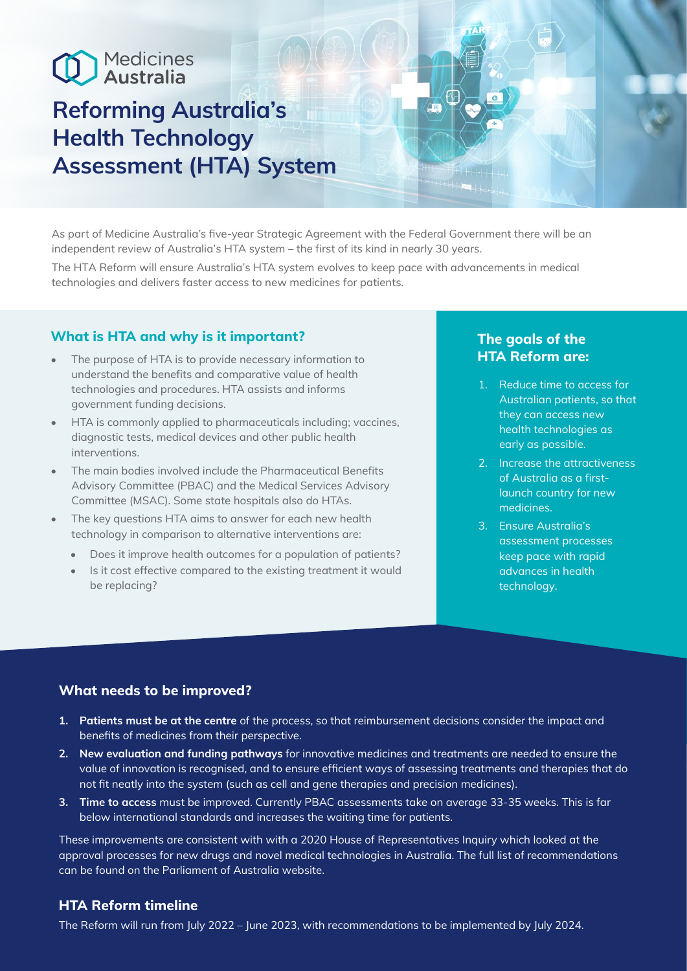# Medicines

# **Reforming Australia's Health Technology Assessment (HTA) System**

As part of Medicine Australia's five-year Strategic Agreement with the Federal Government there will be an independent review of Australia's HTA system – the first of its kind in nearly 30 years.

The HTA Reform will ensure Australia's HTA system evolves to keep pace with advancements in medical technologies and delivers faster access to new medicines for patients.

# **What is HTA and why is it important?**

- The purpose of HTA is to provide necessary information to understand the benefits and comparative value of health technologies and procedures. HTA assists and informs government funding decisions.
- HTA is commonly applied to pharmaceuticals including; vaccines, diagnostic tests, medical devices and other public health interventions.
- The main bodies involved include the Pharmaceutical Benefits Advisory Committee (PBAC) and the Medical Services Advisory Committee (MSAC). Some state hospitals also do HTAs.
- The key questions HTA aims to answer for each new health technology in comparison to alternative interventions are:
	- Does it improve health outcomes for a population of patients?
	- Is it cost effective compared to the existing treatment it would be replacing?

# **The goals of the HTA Reform are:**

- 1. Reduce time to access for Australian patients, so that they can access new health technologies as early as possible.
- 2. Increase the attractiveness of Australia as a firstlaunch country for new medicines.
- 3. Ensure Australia's assessment processes keep pace with rapid advances in health technology.

#### **What needs to be improved?**

- **1. Patients must be at the centre** of the process, so that reimbursement decisions consider the impact and benefits of medicines from their perspective.
- **2. New evaluation and funding pathways** for innovative medicines and treatments are needed to ensure the value of innovation is recognised, and to ensure efficient ways of assessing treatments and therapies that do not fit neatly into the system (such as cell and gene therapies and precision medicines).
- **3. Time to access** must be improved. Currently PBAC assessments take on average 33-35 weeks. This is far below international standards and increases the waiting time for patients.

These improvements are consistent with with a 2020 House of Representatives Inquiry which looked at the approval processes for new drugs and novel medical technologies in Australia. The full list of recommendations can be found on the Parliament of Australia website.

#### **HTA Reform timeline**

The Reform will run from July 2022 – June 2023, with recommendations to be implemented by July 2024.